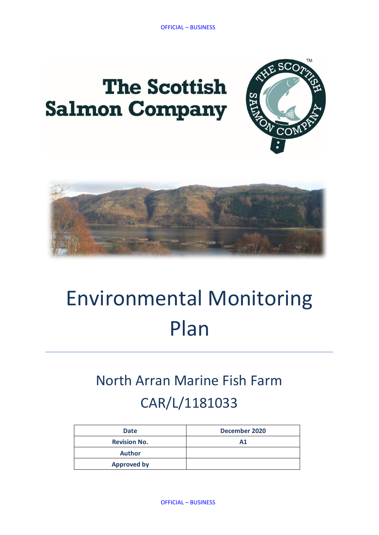# **The Scottish Salmon Company**





# Environmental Monitoring Plan

# North Arran Marine Fish Farm CAR/L/1181033

| <b>Date</b>         | December 2020 |
|---------------------|---------------|
| <b>Revision No.</b> | A1            |
| <b>Author</b>       |               |
| <b>Approved by</b>  |               |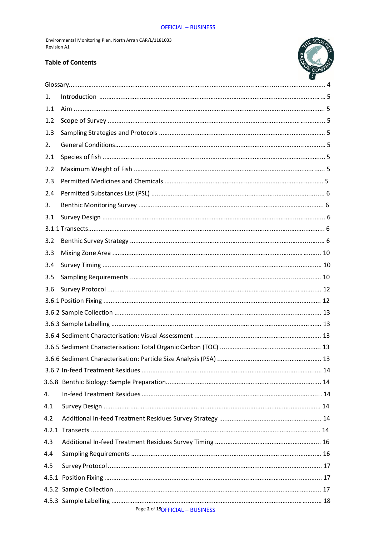#### **OFFICIAL - BUSINESS**

Environmental Monitoring Plan, North Arran CAR/L/1181033 **Revision A1** 

#### **Table of Contents**



| 1.  |  |
|-----|--|
| 1.1 |  |
| 1.2 |  |
| 1.3 |  |
| 2.  |  |
| 2.1 |  |
| 2.2 |  |
| 2.3 |  |
| 2.4 |  |
| 3.  |  |
| 3.1 |  |
|     |  |
| 3.2 |  |
| 3.3 |  |
| 3.4 |  |
| 3.5 |  |
| 3.6 |  |
|     |  |
|     |  |
|     |  |
|     |  |
|     |  |
|     |  |
|     |  |
|     |  |
| 4.  |  |
| 4.1 |  |
| 4.2 |  |
|     |  |
| 4.3 |  |
| 4.4 |  |
| 4.5 |  |
|     |  |
|     |  |
|     |  |

# Page 2 of 19OFFICIAL - BUSINESS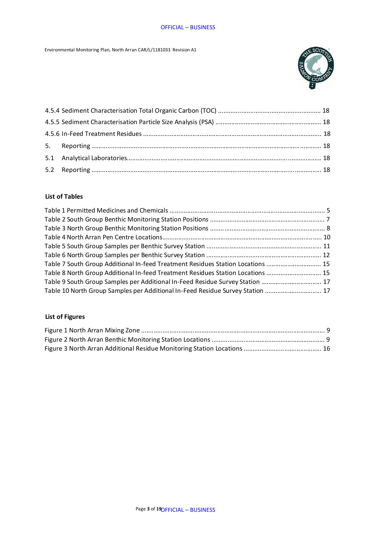Environmental Monitoring Plan, North Arran CAR/L/1181033 Revision A1



### **List of Tables**

| Table 7 South Group Additional In-feed Treatment Residues Station Locations  15 |  |
|---------------------------------------------------------------------------------|--|
| Table 8 North Group Additional In-feed Treatment Residues Station Locations  15 |  |
| Table 9 South Group Samples per Additional In-Feed Residue Survey Station  17   |  |
| Table 10 North Group Samples per Additional In-Feed Residue Survey Station  17  |  |

# **List of Figures**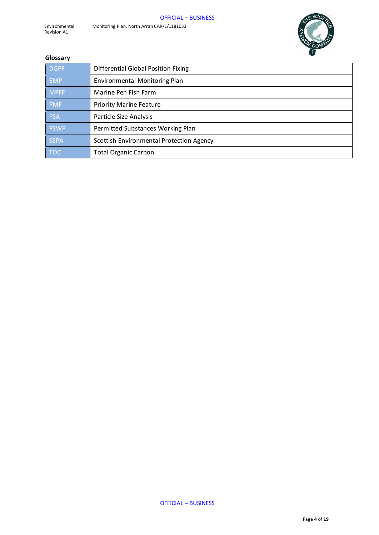

#### **Glossary**

| <b>DGPF</b> | <b>Differential Global Position Fixing</b> |
|-------------|--------------------------------------------|
| <b>EMP</b>  | <b>Environmental Monitoring Plan</b>       |
| <b>MPFF</b> | Marine Pen Fish Farm                       |
| <b>PMF</b>  | <b>Priority Marine Feature</b>             |
| <b>PSA</b>  | Particle Size Analysis                     |
| <b>PSWP</b> | Permitted Substances Working Plan          |
| <b>SEPA</b> | Scottish Environmental Protection Agency   |
| <b>TOC</b>  | <b>Total Organic Carbon</b>                |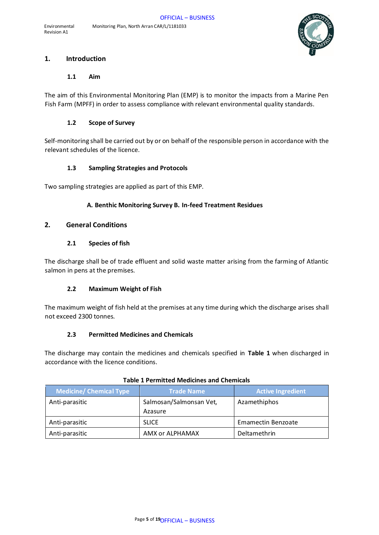

### **1. Introduction**

#### **1.1 Aim**

The aim of this Environmental Monitoring Plan (EMP) is to monitor the impacts from a Marine Pen Fish Farm (MPFF) in order to assess compliance with relevant environmental quality standards.

#### **1.2 Scope of Survey**

Self-monitoring shall be carried out by or on behalf of the responsible person in accordance with the relevant schedules of the licence.

#### **1.3 Sampling Strategies and Protocols**

Two sampling strategies are applied as part of this EMP.

#### **A. Benthic Monitoring Survey B. In-feed Treatment Residues**

#### **2. General Conditions**

#### **2.1 Species of fish**

The discharge shall be of trade effluent and solid waste matter arising from the farming of Atlantic salmon in pens at the premises.

#### **2.2 Maximum Weight of Fish**

The maximum weight of fish held at the premises at any time during which the discharge arises shall not exceed 2300 tonnes.

#### **2.3 Permitted Medicines and Chemicals**

The discharge may contain the medicines and chemicals specified in **Table 1** when discharged in accordance with the licence conditions.

| <b>Medicine/ Chemical Type</b> | <b>Trade Name</b>                  | <b>Active Ingredient</b> |
|--------------------------------|------------------------------------|--------------------------|
| Anti-parasitic                 | Salmosan/Salmonsan Vet,<br>Azasure | Azamethiphos             |
| Anti-parasitic                 | <b>SLICE</b>                       | Emamectin Benzoate       |
| Anti-parasitic                 | AMX or ALPHAMAX                    | Deltamethrin             |

#### **Table 1 Permitted Medicines and Chemicals**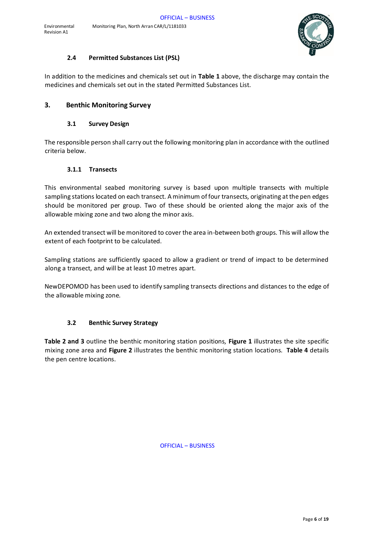

#### **2.4 Permitted Substances List (PSL)**

In addition to the medicines and chemicals set out in **Table 1** above, the discharge may contain the medicines and chemicals set out in the stated Permitted Substances List.

## **3. Benthic Monitoring Survey**

#### **3.1 Survey Design**

The responsible person shall carry out the following monitoring plan in accordance with the outlined criteria below.

#### **3.1.1 Transects**

This environmental seabed monitoring survey is based upon multiple transects with multiple sampling stations located on each transect. A minimum of four transects, originating at the pen edges should be monitored per group. Two of these should be oriented along the major axis of the allowable mixing zone and two along the minor axis.

An extended transect will be monitored to cover the area in-between both groups. This will allow the extent of each footprint to be calculated.

Sampling stations are sufficiently spaced to allow a gradient or trend of impact to be determined along a transect, and will be at least 10 metres apart.

NewDEPOMOD has been used to identify sampling transects directions and distances to the edge of the allowable mixing zone.

#### **3.2 Benthic Survey Strategy**

**Table 2 and 3** outline the benthic monitoring station positions, **Figure 1** illustrates the site specific mixing zone area and **Figure 2** illustrates the benthic monitoring station locations. **Table 4** details the pen centre locations.

OFFICIAL – BUSINESS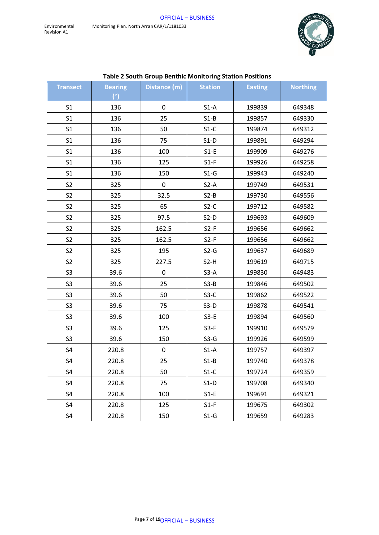

| Table 2 South Group Benthic Monitoring Station Positions |                |              |                |                |                 |
|----------------------------------------------------------|----------------|--------------|----------------|----------------|-----------------|
| <b>Transect</b>                                          | <b>Bearing</b> | Distance (m) | <b>Station</b> | <b>Easting</b> | <b>Northing</b> |
|                                                          | (°)            |              |                |                |                 |
| S <sub>1</sub>                                           | 136            | 0            | $S1-A$         | 199839         | 649348          |
| S <sub>1</sub>                                           | 136            | 25           | $S1-B$         | 199857         | 649330          |
| S <sub>1</sub>                                           | 136            | 50           | $S1-C$         | 199874         | 649312          |
| S <sub>1</sub>                                           | 136            | 75           | $S1-D$         | 199891         | 649294          |
| S <sub>1</sub>                                           | 136            | 100          | $S1-E$         | 199909         | 649276          |
| S <sub>1</sub>                                           | 136            | 125          | $S1-F$         | 199926         | 649258          |
| S <sub>1</sub>                                           | 136            | 150          | $S1-G$         | 199943         | 649240          |
| S <sub>2</sub>                                           | 325            | 0            | $S2-A$         | 199749         | 649531          |
| S <sub>2</sub>                                           | 325            | 32.5         | $S2-B$         | 199730         | 649556          |
| S <sub>2</sub>                                           | 325            | 65           | $S2-C$         | 199712         | 649582          |
| S <sub>2</sub>                                           | 325            | 97.5         | $S2-D$         | 199693         | 649609          |
| S <sub>2</sub>                                           | 325            | 162.5        | $S2-F$         | 199656         | 649662          |
| S <sub>2</sub>                                           | 325            | 162.5        | $S2-F$         | 199656         | 649662          |
| S <sub>2</sub>                                           | 325            | 195          | $S2-G$         | 199637         | 649689          |
| S <sub>2</sub>                                           | 325            | 227.5        | $S2-H$         | 199619         | 649715          |
| S <sub>3</sub>                                           | 39.6           | 0            | $S3-A$         | 199830         | 649483          |
| S <sub>3</sub>                                           | 39.6           | 25           | $S3-B$         | 199846         | 649502          |
| S <sub>3</sub>                                           | 39.6           | 50           | $S3-C$         | 199862         | 649522          |
| S <sub>3</sub>                                           | 39.6           | 75           | $S3-D$         | 199878         | 649541          |
| S <sub>3</sub>                                           | 39.6           | 100          | $S3-E$         | 199894         | 649560          |
| S <sub>3</sub>                                           | 39.6           | 125          | $S3-F$         | 199910         | 649579          |
| S <sub>3</sub>                                           | 39.6           | 150          | $S3-G$         | 199926         | 649599          |
| S <sub>4</sub>                                           | 220.8          | 0            | $S1-A$         | 199757         | 649397          |
| S <sub>4</sub>                                           | 220.8          | 25           | $S1-B$         | 199740         | 649378          |
| S4                                                       | 220.8          | 50           | $S1-C$         | 199724         | 649359          |
| S4                                                       | 220.8          | 75           | $S1-D$         | 199708         | 649340          |
| S4                                                       | 220.8          | 100          | $S1-E$         | 199691         | 649321          |
| S4                                                       | 220.8          | 125          | $S1-F$         | 199675         | 649302          |
| S4                                                       | 220.8          | 150          | $S1-G$         | 199659         | 649283          |

# **Table 2 South Group Benthic Monitoring Station Positions**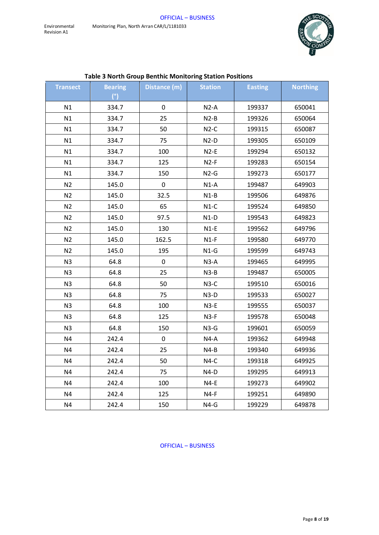

| Table 3 North Group Benthic Monitoring Station Positions |                |              |                |                |                 |
|----------------------------------------------------------|----------------|--------------|----------------|----------------|-----------------|
| <b>Transect</b>                                          | <b>Bearing</b> | Distance (m) | <b>Station</b> | <b>Easting</b> | <b>Northing</b> |
|                                                          | (°)            |              |                |                |                 |
| N1                                                       | 334.7          | $\mathbf 0$  | $N2-A$         | 199337         | 650041          |
| N1                                                       | 334.7          | 25           | $N2-B$         | 199326         | 650064          |
| N1                                                       | 334.7          | 50           | $N2-C$         | 199315         | 650087          |
| N1                                                       | 334.7          | 75           | $N2-D$         | 199305         | 650109          |
| N1                                                       | 334.7          | 100          | $N2-E$         | 199294         | 650132          |
| N1                                                       | 334.7          | 125          | $N2-F$         | 199283         | 650154          |
| N1                                                       | 334.7          | 150          | $N2-G$         | 199273         | 650177          |
| N2                                                       | 145.0          | $\pmb{0}$    | $N1-A$         | 199487         | 649903          |
| N <sub>2</sub>                                           | 145.0          | 32.5         | $N1-B$         | 199506         | 649876          |
| N <sub>2</sub>                                           | 145.0          | 65           | $N1-C$         | 199524         | 649850          |
| N <sub>2</sub>                                           | 145.0          | 97.5         | $N1-D$         | 199543         | 649823          |
| N <sub>2</sub>                                           | 145.0          | 130          | $N1-E$         | 199562         | 649796          |
| N <sub>2</sub>                                           | 145.0          | 162.5        | $N1-F$         | 199580         | 649770          |
| N <sub>2</sub>                                           | 145.0          | 195          | $N1-G$         | 199599         | 649743          |
| N <sub>3</sub>                                           | 64.8           | 0            | $N3-A$         | 199465         | 649995          |
| N <sub>3</sub>                                           | 64.8           | 25           | $N3-B$         | 199487         | 650005          |
| N <sub>3</sub>                                           | 64.8           | 50           | $N3-C$         | 199510         | 650016          |
| N3                                                       | 64.8           | 75           | $N3-D$         | 199533         | 650027          |
| N <sub>3</sub>                                           | 64.8           | 100          | $N3-E$         | 199555         | 650037          |
| N <sub>3</sub>                                           | 64.8           | 125          | $N3-F$         | 199578         | 650048          |
| N <sub>3</sub>                                           | 64.8           | 150          | $N3-G$         | 199601         | 650059          |
| N <sub>4</sub>                                           | 242.4          | $\pmb{0}$    | $N4-A$         | 199362         | 649948          |
| N <sub>4</sub>                                           | 242.4          | 25           | $N4-B$         | 199340         | 649936          |
| N <sub>4</sub>                                           | 242.4          | 50           | $N4-C$         | 199318         | 649925          |
| N <sub>4</sub>                                           | 242.4          | 75           | $N4-D$         | 199295         | 649913          |
| N <sub>4</sub>                                           | 242.4          | 100          | $N4-E$         | 199273         | 649902          |
| N <sub>4</sub>                                           | 242.4          | 125          | $N4-F$         | 199251         | 649890          |
| N <sub>4</sub>                                           | 242.4          | 150          | $N4-G$         | 199229         | 649878          |

# **Table 3 North Group Benthic Monitoring Station Positions**

OFFICIAL – BUSINESS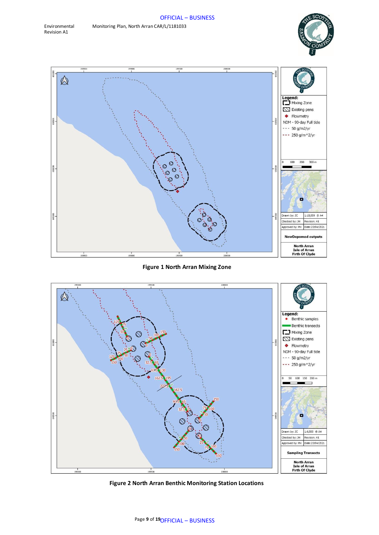



#### **Figure 1 North Arran Mixing Zone**



**Figure 2 North Arran Benthic Monitoring Station Locations**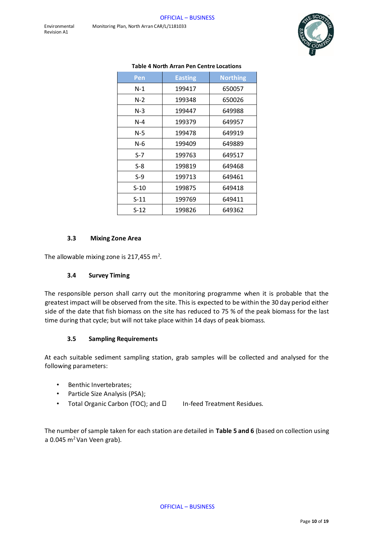![](_page_9_Picture_2.jpeg)

| Pen    | <b>Easting</b> | <b>Northing</b> |
|--------|----------------|-----------------|
| $N-1$  | 199417         | 650057          |
| $N-2$  | 199348         | 650026          |
| $N-3$  | 199447         | 649988          |
| $N-4$  | 199379         | 649957          |
| N-5    | 199478         | 649919          |
| N-6    | 199409         | 649889          |
| $S-7$  | 199763         | 649517          |
| S-8    | 199819         | 649468          |
| S-9    | 199713         | 649461          |
| $S-10$ | 199875         | 649418          |
| $S-11$ | 199769         | 649411          |
| S-12   | 199826         | 649362          |

#### **Table 4 North Arran Pen Centre Locations**

#### **3.3 Mixing Zone Area**

The allowable mixing zone is 217,455 m<sup>2</sup>.

#### **3.4 Survey Timing**

The responsible person shall carry out the monitoring programme when it is probable that the greatest impact will be observed from the site. This is expected to be within the 30 day period either side of the date that fish biomass on the site has reduced to 75 % of the peak biomass for the last time during that cycle; but will not take place within 14 days of peak biomass.

#### **3.5 Sampling Requirements**

At each suitable sediment sampling station, grab samples will be collected and analysed for the following parameters:

- Benthic Invertebrates;
- Particle Size Analysis (PSA);
- Total Organic Carbon (TOC); and  $\square$  In-feed Treatment Residues.

The number of sample taken for each station are detailed in **Table 5 and 6** (based on collection using a 0.045  $m^2$  Van Veen grab).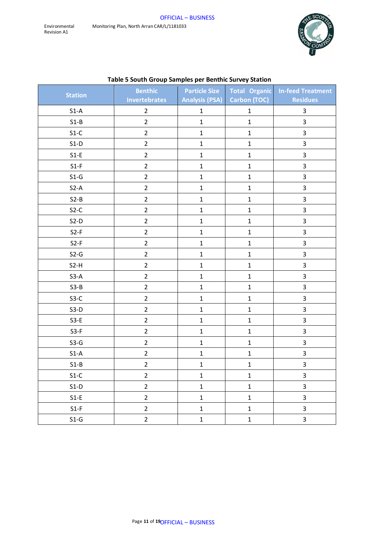![](_page_10_Picture_2.jpeg)

|                | <b>Benthic</b>       |              |                             | Particle Size   Total Organic   In-feed Treatment |
|----------------|----------------------|--------------|-----------------------------|---------------------------------------------------|
| <b>Station</b> | <b>Invertebrates</b> |              | Analysis (PSA) Carbon (TOC) | <b>Residues</b>                                   |
| $S1-A$         | $\overline{2}$       | $\mathbf{1}$ | $\mathbf{1}$                | 3                                                 |
| $S1-B$         | $\overline{2}$       | $\mathbf{1}$ | $\mathbf{1}$                | $\overline{3}$                                    |
| $S1-C$         | $\overline{2}$       | $\mathbf{1}$ | $\mathbf{1}$                | 3                                                 |
| $S1-D$         | $\overline{2}$       | $\mathbf{1}$ | $\mathbf{1}$                | 3                                                 |
| $S1-E$         | $\overline{2}$       | $\mathbf{1}$ | $\mathbf{1}$                | $\mathbf{3}$                                      |
| $S1-F$         | $\overline{2}$       | $\mathbf{1}$ | $\mathbf{1}$                | 3                                                 |
| $S1-G$         | $\overline{2}$       | $\mathbf{1}$ | $\mathbf{1}$                | 3                                                 |
| $S2-A$         | $\overline{2}$       | $\mathbf{1}$ | $\mathbf 1$                 | 3                                                 |
| $S2-B$         | $\overline{2}$       | $\mathbf{1}$ | $\mathbf{1}$                | 3                                                 |
| $S2-C$         | $\overline{2}$       | $\mathbf{1}$ | $\mathbf{1}$                | 3                                                 |
| $S2-D$         | $\overline{2}$       | $\mathbf{1}$ | $\mathbf{1}$                | 3                                                 |
| $S2-F$         | $\overline{2}$       | $\mathbf{1}$ | $\mathbf{1}$                | 3                                                 |
| $S2-F$         | $\overline{2}$       | $\mathbf{1}$ | $\mathbf{1}$                | 3                                                 |
| $S2-G$         | $\overline{2}$       | $\mathbf{1}$ | $\mathbf{1}$                | 3                                                 |
| $S2-H$         | $\overline{2}$       | $\mathbf{1}$ | $\mathbf{1}$                | 3                                                 |
| $S3-A$         | $\overline{2}$       | $\mathbf{1}$ | $\mathbf{1}$                | 3                                                 |
| $S3-B$         | $\overline{2}$       | $\mathbf{1}$ | $\mathbf{1}$                | 3                                                 |
| $S3-C$         | $\overline{2}$       | $\mathbf{1}$ | $\mathbf{1}$                | $\overline{3}$                                    |
| $S3-D$         | $\overline{2}$       | $\mathbf{1}$ | $\mathbf{1}$                | 3                                                 |
| $S3-E$         | $\overline{2}$       | $\mathbf{1}$ | $\mathbf{1}$                | 3                                                 |
| $S3-F$         | $\overline{2}$       | $\mathbf{1}$ | $\mathbf{1}$                | 3                                                 |
| $S3-G$         | $\overline{2}$       | $\mathbf{1}$ | $\mathbf{1}$                | 3                                                 |
| $S1-A$         | $\overline{2}$       | $\mathbf{1}$ | $\mathbf{1}$                | $\mathbf{3}$                                      |
| $S1-B$         | $\overline{2}$       | $\mathbf{1}$ | $\mathbf{1}$                | 3                                                 |
| $S1-C$         | $\overline{2}$       | $\mathbf{1}$ | $\mathbf{1}$                | $\overline{\mathbf{3}}$                           |
| $S1-D$         | $\overline{2}$       | $\mathbf{1}$ | $\mathbf{1}$                | $\overline{3}$                                    |
| $S1-E$         | $\overline{2}$       | $\mathbf{1}$ | $\mathbf{1}$                | $\overline{3}$                                    |
| $S1-F$         | $\overline{2}$       | $\mathbf{1}$ | $\mathbf{1}$                | $\overline{\mathbf{3}}$                           |
| $S1-G$         | $\overline{2}$       | $\mathbf{1}$ | $\mathbf{1}$                | $\overline{3}$                                    |

# **Table 5 South Group Samples per Benthic Survey Station**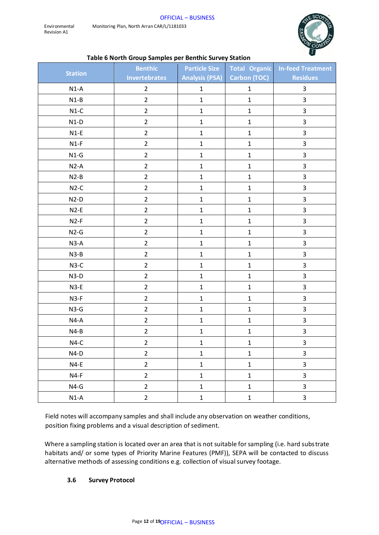![](_page_11_Picture_2.jpeg)

#### **Table 6 North Group Samples per Benthic Survey Station**

|                | <b>Benthic</b>       | <b>Particle Size</b>  |                     | Total Organic In-feed Treatment |
|----------------|----------------------|-----------------------|---------------------|---------------------------------|
| <b>Station</b> | <b>Invertebrates</b> | <b>Analysis (PSA)</b> | <b>Carbon (TOC)</b> | <b>Residues</b>                 |
| $N1-A$         | $\overline{2}$       | $\mathbf{1}$          | $\mathbf{1}$        | 3                               |
| $N1-B$         | $\overline{2}$       | $\mathbf{1}$          | $\mathbf 1$         | $\mathsf{3}$                    |
| $N1-C$         | $\overline{2}$       | $\mathbf 1$           | $\mathbf 1$         | 3                               |
| $N1-D$         | $\overline{2}$       | $\mathbf{1}$          | $\mathbf 1$         | 3                               |
| $N1-E$         | $\overline{2}$       | $\mathbf{1}$          | $\mathbf 1$         | 3                               |
| $N1-F$         | $\overline{2}$       | $\mathbf{1}$          | $\mathbf{1}$        | $\mathbf{3}$                    |
| $N1-G$         | $\overline{2}$       | $\mathbf 1$           | $\mathbf 1$         | 3                               |
| $N2-A$         | $\overline{2}$       | $\mathbf 1$           | $\mathbf 1$         | 3                               |
| $N2-B$         | $\overline{2}$       | $\mathbf{1}$          | $\mathbf{1}$        | 3                               |
| $N2-C$         | $\overline{2}$       | $\mathbf{1}$          | $\mathbf 1$         | 3                               |
| $N2-D$         | $\overline{2}$       | $\mathbf{1}$          | $\mathbf 1$         | 3                               |
| $N2-E$         | $\overline{2}$       | $\mathbf 1$           | $\mathbf{1}$        | 3                               |
| $N2-F$         | $\overline{2}$       | $\mathbf{1}$          | $\mathbf{1}$        | 3                               |
| $N2-G$         | $\overline{2}$       | $\mathbf{1}$          | $\mathbf 1$         | 3                               |
| $N3-A$         | $\overline{2}$       | $\mathbf{1}$          | $\mathbf{1}$        | 3                               |
| $N3-B$         | $\overline{2}$       | $\mathbf{1}$          | $\mathbf{1}$        | 3                               |
| $N3-C$         | $\overline{2}$       | $\mathbf{1}$          | $\mathbf{1}$        | $\mathbf{3}$                    |
| $N3-D$         | $\overline{2}$       | $\mathbf{1}$          | $\mathbf{1}$        | 3                               |
| $N3-E$         | $\overline{2}$       | $\mathbf{1}$          | $\mathbf 1$         | 3                               |
| $N3-F$         | $\overline{2}$       | $\mathbf{1}$          | $\mathbf 1$         | 3                               |
| $N3-G$         | $\overline{2}$       | $\mathbf{1}$          | $\mathbf 1$         | 3                               |
| $N4-A$         | $\overline{2}$       | $\mathbf{1}$          | $\mathbf{1}$        | 3                               |
| $N4-B$         | $\overline{2}$       | $\mathbf{1}$          | $\mathbf 1$         | 3                               |
| $N4-C$         | $\overline{2}$       | $\mathbf{1}$          | $\mathbf{1}$        | 3                               |
| $N4-D$         | $\overline{2}$       | $\mathbf 1$           | $\mathbf{1}$        | $\mathbf{3}$                    |
| $N4-E$         | $\overline{2}$       | $\mathbf{1}$          | $\mathbf{1}$        | $\overline{3}$                  |
| $N4-F$         | $\overline{2}$       | $\mathbf{1}$          | $\mathbf{1}$        | $\overline{\mathbf{3}}$         |
| $N4-G$         | $\overline{2}$       | $\mathbf 1$           | $\mathbf{1}$        | 3                               |
| $N1-A$         | $\overline{2}$       | $\mathbf 1$           | $\mathbf 1$         | 3                               |

Field notes will accompany samples and shall include any observation on weather conditions, position fixing problems and a visual description of sediment.

Where a sampling station is located over an area that is not suitable for sampling (i.e. hard substrate habitats and/ or some types of Priority Marine Features (PMF)), SEPA will be contacted to discuss alternative methods of assessing conditions e.g. collection of visual survey footage.

#### **3.6 Survey Protocol**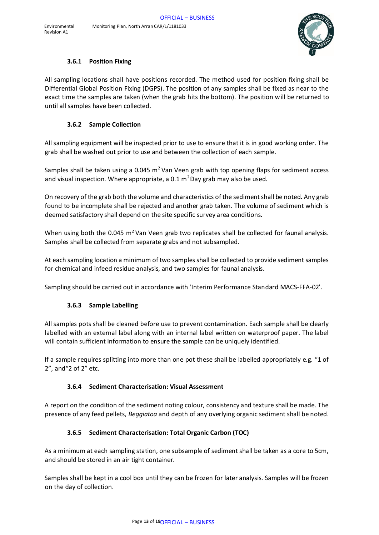![](_page_12_Picture_1.jpeg)

#### **3.6.1 Position Fixing**

All sampling locations shall have positions recorded. The method used for position fixing shall be Differential Global Position Fixing (DGPS). The position of any samples shall be fixed as near to the exact time the samples are taken (when the grab hits the bottom). The position will be returned to until all samples have been collected.

#### **3.6.2 Sample Collection**

All sampling equipment will be inspected prior to use to ensure that it is in good working order. The grab shall be washed out prior to use and between the collection of each sample.

Samples shall be taken using a 0.045  $m<sup>2</sup>$  Van Veen grab with top opening flaps for sediment access and visual inspection. Where appropriate, a  $0.1 \text{ m}^2$ Day grab may also be used.

On recovery of the grab both the volume and characteristics of the sediment shall be noted. Any grab found to be incomplete shall be rejected and another grab taken. The volume of sediment which is deemed satisfactory shall depend on the site specific survey area conditions.

When using both the 0.045  $m^2$  Van Veen grab two replicates shall be collected for faunal analysis. Samples shall be collected from separate grabs and not subsampled.

At each sampling location a minimum of two samples shall be collected to provide sediment samples for chemical and infeed residue analysis, and two samples for faunal analysis.

Sampling should be carried out in accordance with 'Interim Performance Standard MACS-FFA-02'.

# **3.6.3 Sample Labelling**

All samples pots shall be cleaned before use to prevent contamination. Each sample shall be clearly labelled with an external label along with an internal label written on waterproof paper. The label will contain sufficient information to ensure the sample can be uniquely identified.

If a sample requires splitting into more than one pot these shall be labelled appropriately e.g. "1 of 2", and"2 of 2" etc.

#### **3.6.4 Sediment Characterisation: Visual Assessment**

A report on the condition of the sediment noting colour, consistency and texture shall be made. The presence of any feed pellets, *Beggiatoa* and depth of any overlying organic sediment shall be noted.

# **3.6.5 Sediment Characterisation: Total Organic Carbon (TOC)**

As a minimum at each sampling station, one subsample of sediment shall be taken as a core to 5cm, and should be stored in an air tight container.

Samples shall be kept in a cool box until they can be frozen for later analysis. Samples will be frozen on the day of collection.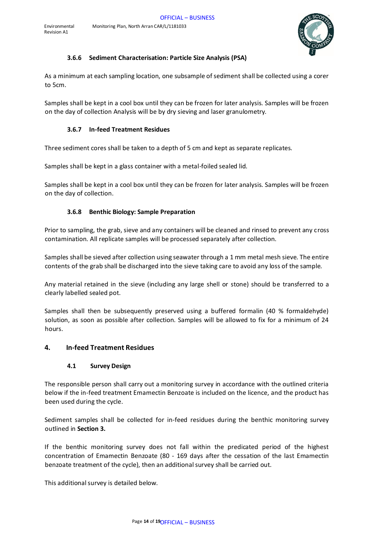![](_page_13_Picture_2.jpeg)

## **3.6.6 Sediment Characterisation: Particle Size Analysis (PSA)**

As a minimum at each sampling location, one subsample of sediment shall be collected using a corer to 5cm.

Samples shall be kept in a cool box until they can be frozen for later analysis. Samples will be frozen on the day of collection Analysis will be by dry sieving and laser granulometry.

# **3.6.7 In-feed Treatment Residues**

Three sediment cores shall be taken to a depth of 5 cm and kept as separate replicates.

Samples shall be kept in a glass container with a metal-foiled sealed lid.

Samples shall be kept in a cool box until they can be frozen for later analysis. Samples will be frozen on the day of collection.

#### **3.6.8 Benthic Biology: Sample Preparation**

Prior to sampling, the grab, sieve and any containers will be cleaned and rinsed to prevent any cross contamination. All replicate samples will be processed separately after collection.

Samples shall be sieved after collection using seawater through a 1 mm metal mesh sieve. The entire contents of the grab shall be discharged into the sieve taking care to avoid any loss of the sample.

Any material retained in the sieve (including any large shell or stone) should be transferred to a clearly labelled sealed pot.

Samples shall then be subsequently preserved using a buffered formalin (40 % formaldehyde) solution, as soon as possible after collection. Samples will be allowed to fix for a minimum of 24 hours.

# **4. In-feed Treatment Residues**

#### **4.1 Survey Design**

The responsible person shall carry out a monitoring survey in accordance with the outlined criteria below if the in-feed treatment Emamectin Benzoate is included on the licence, and the product has been used during the cycle.

Sediment samples shall be collected for in-feed residues during the benthic monitoring survey outlined in **Section 3.**

If the benthic monitoring survey does not fall within the predicated period of the highest concentration of Emamectin Benzoate (80 - 169 days after the cessation of the last Emamectin benzoate treatment of the cycle), then an additional survey shall be carried out.

This additional survey is detailed below.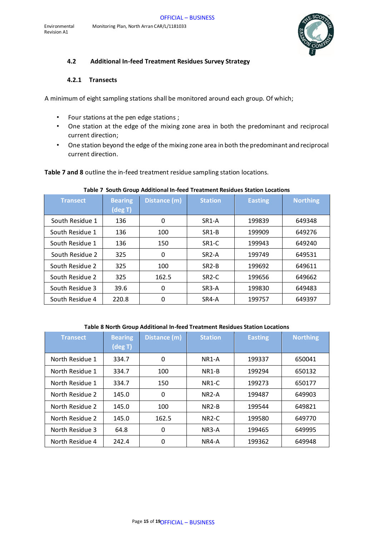![](_page_14_Picture_1.jpeg)

#### **4.2 Additional In-feed Treatment Residues Survey Strategy**

#### **4.2.1 Transects**

A minimum of eight sampling stations shall be monitored around each group. Of which;

- Four stations at the pen edge stations ;
- One station at the edge of the mixing zone area in both the predominant and reciprocal current direction;
- One station beyond the edge of the mixing zone area in both the predominant and reciprocal current direction.

**Table 7 and 8** outline the in-feed treatment residue sampling station locations.

| <b>Transect</b> | <b>Bearing</b><br>(deg T) | Distance (m) | <b>Station</b>     | <b>Easting</b> | <b>Northing</b> |
|-----------------|---------------------------|--------------|--------------------|----------------|-----------------|
| South Residue 1 | 136                       | 0            | SR <sub>1</sub> -A | 199839         | 649348          |
| South Residue 1 | 136                       | 100          | SR <sub>1</sub> -B | 199909         | 649276          |
| South Residue 1 | 136                       | 150          | SR <sub>1</sub> -C | 199943         | 649240          |
| South Residue 2 | 325                       | $\mathbf 0$  | SR <sub>2</sub> -A | 199749         | 649531          |
| South Residue 2 | 325                       | 100          | $SR2-B$            | 199692         | 649611          |
| South Residue 2 | 325                       | 162.5        | SR <sub>2</sub> -C | 199656         | 649662          |
| South Residue 3 | 39.6                      | 0            | SR <sub>3</sub> -A | 199830         | 649483          |
| South Residue 4 | 220.8                     | 0            | SR4-A              | 199757         | 649397          |

#### **Table 7 South Group Additional In-feed Treatment Residues Station Locations**

#### **Table 8 North Group Additional In-feed Treatment Residues Station Locations**

| <b>Transect</b> | <b>Bearing</b><br>(deg T) | Distance (m) | <b>Station</b>     | <b>Easting</b> | <b>Northing</b> |
|-----------------|---------------------------|--------------|--------------------|----------------|-----------------|
| North Residue 1 | 334.7                     | 0            | NR <sub>1</sub> -A | 199337         | 650041          |
| North Residue 1 | 334.7                     | 100          | NR <sub>1</sub> -B | 199294         | 650132          |
| North Residue 1 | 334.7                     | 150          | NR <sub>1</sub> -C | 199273         | 650177          |
| North Residue 2 | 145.0                     | 0            | $NR2-A$            | 199487         | 649903          |
| North Residue 2 | 145.0                     | 100          | $NR2-B$            | 199544         | 649821          |
| North Residue 2 | 145.0                     | 162.5        | NR <sub>2</sub> -C | 199580         | 649770          |
| North Residue 3 | 64.8                      | 0            | NR3-A              | 199465         | 649995          |
| North Residue 4 | 242.4                     | 0            | NR4-A              | 199362         | 649948          |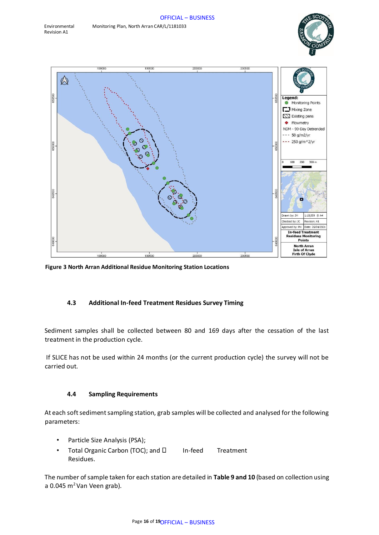![](_page_15_Picture_2.jpeg)

![](_page_15_Figure_3.jpeg)

**Figure 3 North Arran Additional Residue Monitoring Station Locations** 

#### **4.3 Additional In-feed Treatment Residues Survey Timing**

Sediment samples shall be collected between 80 and 169 days after the cessation of the last treatment in the production cycle.

If SLICE has not be used within 24 months (or the current production cycle) the survey will not be carried out.

#### **4.4 Sampling Requirements**

At each soft sediment sampling station, grab samples will be collected and analysed for the following parameters:

- Particle Size Analysis (PSA);
- Total Organic Carbon (TOC); and  $\square$  In-feed Treatment Residues.

The number of sample taken for each station are detailed in **Table 9 and 10** (based on collection using a 0.045  $m^2$  Van Veen grab).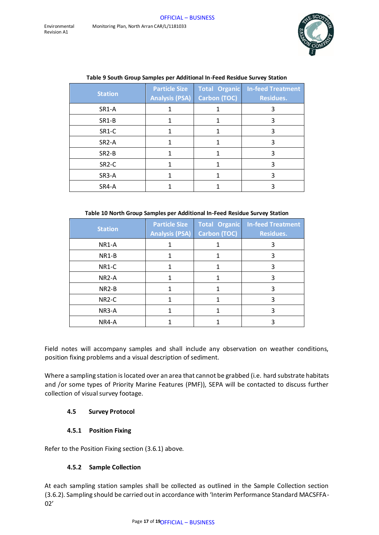![](_page_16_Picture_2.jpeg)

| <b>Station</b>     | <b>Particle Size</b><br><b>Analysis (PSA)</b> | <b>Total Organic</b><br>Carbon (TOC) | <b>In-feed Treatment</b><br><b>Residues.</b> |
|--------------------|-----------------------------------------------|--------------------------------------|----------------------------------------------|
| SR1-A              |                                               |                                      | 3                                            |
| SR1-B              |                                               |                                      | 3                                            |
| SR1-C              |                                               |                                      | 3                                            |
| SR <sub>2</sub> -A |                                               |                                      | 3                                            |
| SR <sub>2</sub> -B |                                               |                                      | 3                                            |
| SR <sub>2</sub> -C |                                               |                                      | 3                                            |
| SR3-A              |                                               |                                      | 3                                            |
| SR4-A              |                                               |                                      |                                              |

#### **Table 9 South Group Samples per Additional In-Feed Residue Survey Station**

#### **Table 10 North Group Samples per Additional In-Feed Residue Survey Station**

| <b>Station</b>     | <b>Particle Size</b><br><b>Analysis (PSA)</b> | <b>Total Organic</b><br><b>Carbon (TOC)</b> | <b>In-feed Treatment</b><br><b>Residues.</b> |
|--------------------|-----------------------------------------------|---------------------------------------------|----------------------------------------------|
| NR1-A              |                                               |                                             | 3                                            |
| NR1-B              |                                               |                                             | 3                                            |
| NR1-C              |                                               |                                             | 3                                            |
| NR <sub>2</sub> -A |                                               |                                             | 3                                            |
| NR <sub>2</sub> -B |                                               |                                             | 3                                            |
| NR <sub>2</sub> -C |                                               |                                             | 3                                            |
| NR3-A              |                                               |                                             | 3                                            |
| NR4-A              |                                               |                                             |                                              |

Field notes will accompany samples and shall include any observation on weather conditions, position fixing problems and a visual description of sediment.

Where a sampling station is located over an area that cannot be grabbed (i.e. hard substrate habitats and /or some types of Priority Marine Features (PMF)), SEPA will be contacted to discuss further collection of visual survey footage.

# **4.5 Survey Protocol**

# **4.5.1 Position Fixing**

Refer to the Position Fixing section (3.6.1) above.

#### **4.5.2 Sample Collection**

At each sampling station samples shall be collected as outlined in the Sample Collection section (3.6.2). Sampling should be carried out in accordance with 'Interim Performance Standard MACSFFA-02'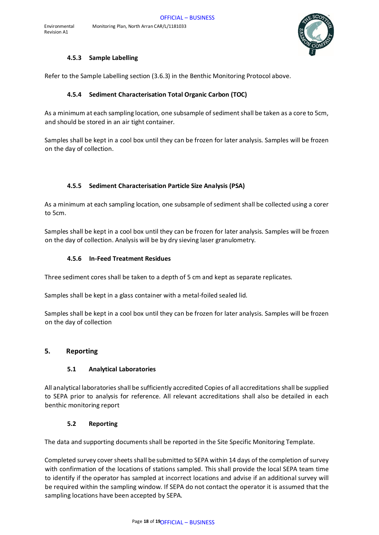![](_page_17_Picture_1.jpeg)

#### **4.5.3 Sample Labelling**

Refer to the Sample Labelling section (3.6.3) in the Benthic Monitoring Protocol above.

## **4.5.4 Sediment Characterisation Total Organic Carbon (TOC)**

As a minimum at each sampling location, one subsample of sediment shall be taken as a core to 5cm, and should be stored in an air tight container.

Samples shall be kept in a cool box until they can be frozen for later analysis. Samples will be frozen on the day of collection.

#### **4.5.5 Sediment Characterisation Particle Size Analysis (PSA)**

As a minimum at each sampling location, one subsample of sediment shall be collected using a corer to 5cm.

Samples shall be kept in a cool box until they can be frozen for later analysis. Samples will be frozen on the day of collection. Analysis will be by dry sieving laser granulometry.

#### **4.5.6 In-Feed Treatment Residues**

Three sediment cores shall be taken to a depth of 5 cm and kept as separate replicates.

Samples shall be kept in a glass container with a metal-foiled sealed lid.

Samples shall be kept in a cool box until they can be frozen for later analysis. Samples will be frozen on the day of collection

#### **5. Reporting**

#### **5.1 Analytical Laboratories**

All analytical laboratories shall be sufficiently accredited Copies of all accreditations shall be supplied to SEPA prior to analysis for reference. All relevant accreditations shall also be detailed in each benthic monitoring report

#### **5.2 Reporting**

The data and supporting documents shall be reported in the Site Specific Monitoring Template.

Completed survey cover sheets shall be submitted to SEPA within 14 days of the completion of survey with confirmation of the locations of stations sampled. This shall provide the local SEPA team time to identify if the operator has sampled at incorrect locations and advise if an additional survey will be required within the sampling window. If SEPA do not contact the operator it is assumed that the sampling locations have been accepted by SEPA.